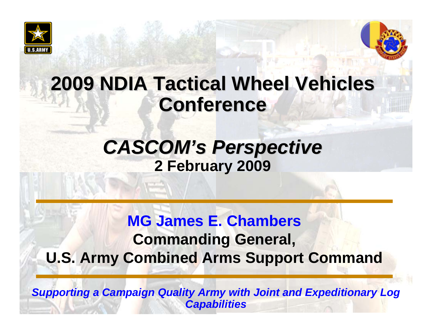



## **2009 NDIA Tactical Wheel Vehicles 2009 NDIA Tactical Wheel Vehicles Conference**

### *CASCOM's Perspective* **2 February 2009**

### **MG James E. ChambersCommanding General, U.S. Army Combined Arms Support Command**

*Supporting a Campaign Quality Army with Joint and Expeditionary Log Capabilities*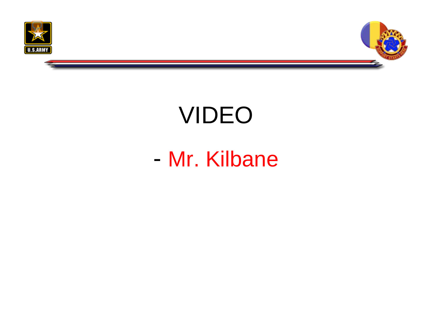



# VIDEO

## - Mr. Kilbane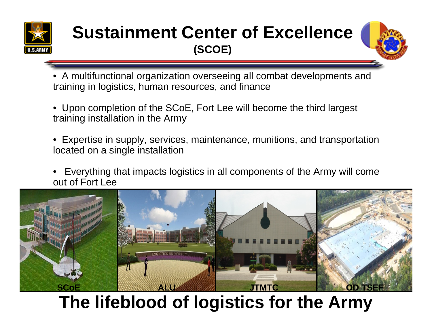

### **Sustainment Center of Excellence (SCOE)**



• A multifunctional organization overseeing all combat developments and training in logistics, human resources, and finance

- Upon completion of the SCoE, Fort Lee will become the third largest training installation in the Army
- Expertise in supply, services, maintenance, munitions, and transportation located on a single installation
- Everything that impacts logistics in all components of the Army will come out of Fort Lee



### **The lifeblood of logistics for the Army**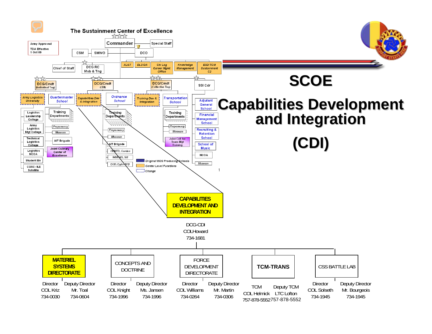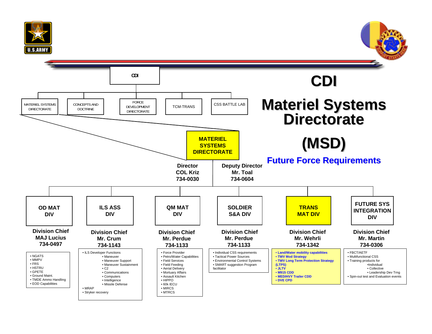

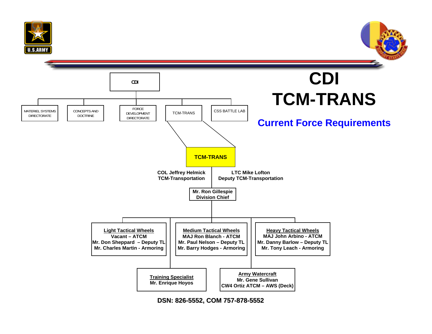





**DSN: 826-5552, COM 757-878-5552**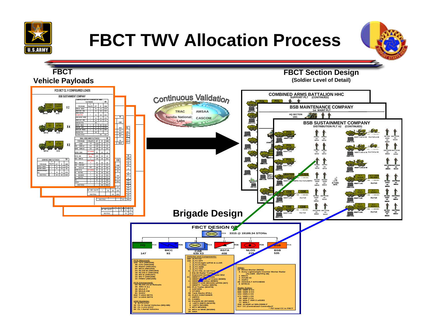

## **FBCT TWV Allocation Process**



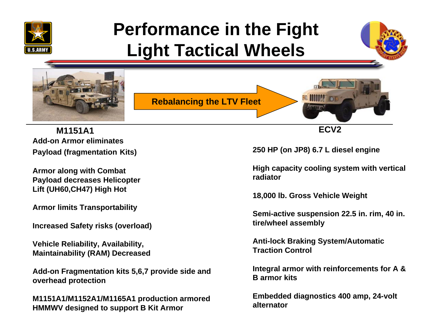

## **Performance in the Fight Light Tactical Wheels**





**Add-on Armor eliminatesPayload (fragmentation Kits) M1151A1**

**Armor along with Combat Payload decreases Helicopter Lift (UH60,CH47) High Hot**

**Armor limits Transportability**

**Increased Safety risks (overload)**

**Vehicle Reliability, Availability, Maintainability (RAM) Decreased**

**Add-on Fragmentation kits 5,6,7 provide side and overhead protection**

**M1151A1/M1152A1/M1165A1 production armored HMMWV designed to support B Kit Armor**

**250 HP (on JP8) 6.7 L diesel engine**

**High capacity cooling system with vertical radiator**

**18,000 lb. Gross Vehicle Weight**

**Semi-active suspension 22.5 in. rim, 40 in. tire/wheel assembly**

**Anti-lock Braking System/Automatic Traction Control**

**Integral armor with reinforcements for A & B armor kits**

**Embedded diagnostics 400 amp, 24-volt alternator**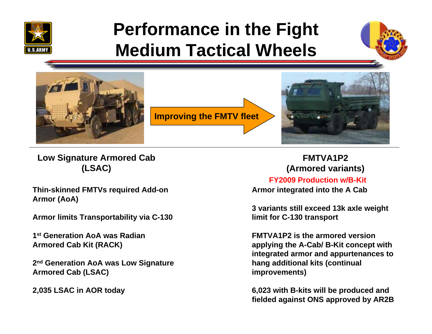

### **Performance in the Fight Medium Tactical Wheels**





**Low Signature Armored Cab (LSAC)**

**Thin-skinned FMTVs required Add-on Armor (AoA)**

**Armor limits Transportability via C-130**

**1st Generation AoA was Radian Armored Cab Kit (RACK)**

**2nd Generation AoA was Low Signature Armored Cab (LSAC)**

**2,035 LSAC in AOR today**

**FMTVA1P2(Armored variants)**

**FY2009 Production w/B-Kit**

**Armor integrated into the A Cab**

**3 variants still exceed 13k axle weight limit for C-130 transport**

**FMTVA1P2 is the armored version applying the A-Cab/ B-Kit concept with integrated armor and appurtenances to hang additional kits (continual improvements)** 

**6,023 with B-kits will be produced and fielded against ONS approved by AR2B**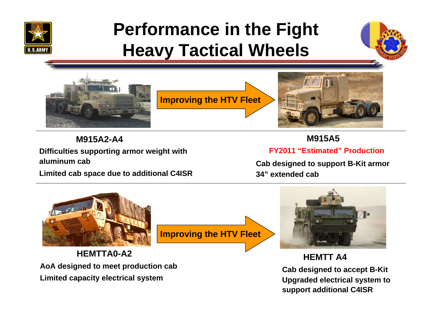

## **Performance in the Fight Heavy Tactical Wheels**





**M915A2-A4**

**Difficulties supporting armor weight with aluminum cab** 

**Limited cab space due to additional C4ISR**

**M915A5**

**FY2011 "Estimated" Production**

**Cab designed to support B-Kit armor 34" extended cab**



**HEMTTA0-A2AoA designed to meet production cab Limited capacity electrical system**

**Improving the HTV Fleet**



**HEMTT A4**

**Cab designed to accept B-Kit Upgraded electrical system to support additional C4ISR**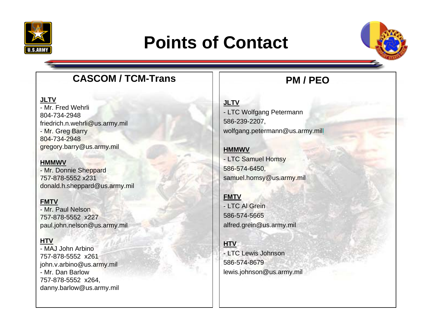

## **Points of Contact**



### **CASCOM / TCM-Trans**

#### **JLTV**

- Mr. Fred Wehrli804-734-2948friedrich.n.wehrli@us.army.mil - Mr. Greg Barry 804-734-2948gregory.barry@us.army.mil

#### **HMMWV**

- Mr. Donnie Sheppard 757-878-5552 x231donald.h.sheppard@us.army.mil

#### **FMTV**

- Mr. Paul Nelson757-878-5552 x227paul.john.nelson@us.army.mil

#### **HTV**

- MAJ John Arbino757-878-5552 x261john.v.arbino@us.army.mil - Mr. Dan Barlow757-878-5552 x264, danny.barlow@us.army.mil

### **PM / PEO**

#### **JLTV** - LTC Wolfgang Petermann 586-239-2207, wolfgang.petermann@us.army.mil[l](mailto:wolfgang.petermann@us.army.mil)

### **HMMWV**

- LTC Samuel Homsy 586-574-6450, samuel.homsy@us.army.mil

#### **FMTV**

- LTC Al Grein586-574-5665alfred.grein@us.army.mil

#### **HTV**

- LTC Lewis Johnson586-574-8679lewis.johnson@us.army.mil